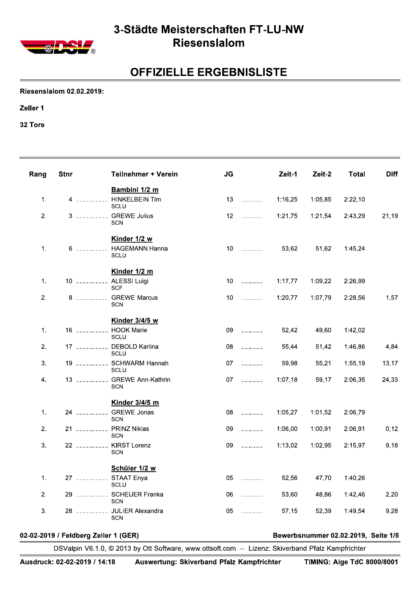

#### 3-Städte Meisterschaften FT-LU-NW Riesenslalom

## **OFFIZIELLE ERGEBNISLISTE**

**Riesenslalom 02.02.2019:** 

Zeller 1

32 Tore

| Rang | <b>Stnr</b> | <b>Teilnehmer + Verein</b>                | <b>JG</b>       |                        | Zeit-1  | Zeit-2  | <b>Total</b> | <b>Diff</b> |
|------|-------------|-------------------------------------------|-----------------|------------------------|---------|---------|--------------|-------------|
|      |             | Bambini 1/2 m                             |                 |                        |         |         |              |             |
| 1.   |             | 4  HINKELBEIN Tim<br><b>SCLU</b>          | 13              | .                      | 1:16,25 | 1:05,85 | 2:22,10      |             |
| 2.   |             | 3  GREWE Julius<br><b>SCN</b>             | 12              | .                      | 1:21,75 | 1:21,54 | 2:43,29      | 21,19       |
| 1.   |             | Kinder 1/2 w<br>6  HAGEMANN Hanna<br>SCLU | 10 <sup>°</sup> | .                      | 53,62   | 51,62   | 1:45,24      |             |
|      |             | Kinder 1/2 m                              |                 |                        |         |         |              |             |
| 1.   |             | 10  ALESSI Luigi<br><b>SCF</b>            | 10 <sup>°</sup> | .                      | 1:17,77 | 1:09,22 | 2:26,99      |             |
| 2.   |             | 8  GREWE Marcus<br><b>SCN</b>             | 10              | .                      | 1:20,77 | 1:07,79 | 2:28,56      | 1,57        |
|      |             | Kinder 3/4/5 w                            |                 |                        |         |         |              |             |
| 1.   |             | 16  HOOK Marie<br>SCLU                    | 09              | $\ldots \ldots \ldots$ | 52,42   | 49,60   | 1:42,02      |             |
| 2.   |             | 17  DEBOLD Karlina<br>SCLU                | 08              | .                      | 55,44   | 51,42   | 1:46,86      | 4,84        |
| 3.   |             | 19  SCHWARM Hannah<br>SCLU                | 07              | .                      | 59,98   | 55,21   | 1:55,19      | 13,17       |
| 4.   |             | 13  GREWE Ann-Kathrin<br><b>SCN</b>       | 07              | .                      | 1:07,18 | 59,17   | 2:06,35      | 24,33       |
|      |             | Kinder 3/4/5 m                            |                 |                        |         |         |              |             |
| 1.   |             | 24  GREWE Jonas<br>SCN                    | 08              | .                      | 1:05,27 | 1:01,52 | 2:06,79      |             |
| 2.   |             | 21  PRINZ Niklas<br><b>SCN</b>            | 09              | .                      | 1:06,00 | 1:00,91 | 2:06,91      | 0,12        |
| 3.   |             | 22  KIRST Lorenz<br><b>SCN</b>            | 09              | .                      | 1:13,02 | 1:02,95 | 2:15,97      | 9,18        |
|      |             | Schüler 1/2 w                             |                 |                        |         |         |              |             |
| 1.   |             | 27  STAAT Enya<br><b>SCLU</b>             | 05              | .                      | 52,56   | 47,70   | 1:40,26      |             |
| 2.   |             | 29  SCHEUER Franka<br><b>SCN</b>          | 06              | .                      | 53,60   | 48,86   | 1:42,46      | 2,20        |
| 3.   |             | 28  JULIER Alexandra<br><b>SCN</b>        | 05              | .                      | 57,15   | 52,39   | 1:49,54      | 9,28        |

#### 02-02-2019 / Feldberg Zeller 1 (GER)

Bewerbsnummer 02.02.2019, Seite 1/5

DSValpin V6.1.0, @ 2013 by Ott Software, www.ottsoft.com -- Lizenz: Skiverband Pfalz Kampfrichter

Auswertung: Skiverband Pfalz Kampfrichter

**TIMING: Alge TdC 8000/8001**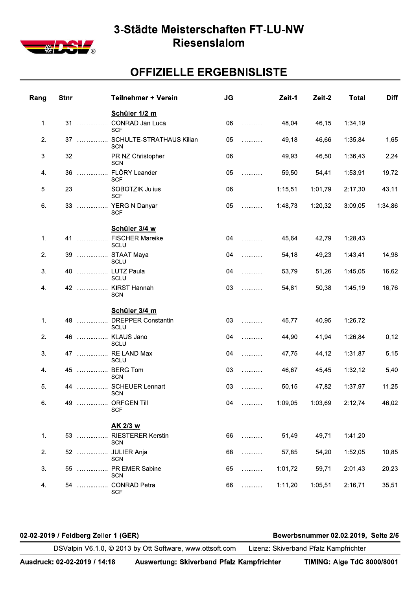

## 3-Stadte Meisterschaften FT-LU-NW **Riesensiaiom**

# <u>UFFIZIELLE ERGEBNISLISTE</u>

| Rang           | <b>Stnr</b> |                                      | Teilnehmer + Verein                                                                               | <b>JG</b> |   | Zeit-1  | Zeit-2                              | <b>Total</b> | <b>Diff</b> |
|----------------|-------------|--------------------------------------|---------------------------------------------------------------------------------------------------|-----------|---|---------|-------------------------------------|--------------|-------------|
| $\mathbf{1}$ . |             | 31                                   | Schüler 1/2 m<br>CONRAD Jan Luca<br><b>SCF</b>                                                    | 06        | . | 48,04   | 46,15                               | 1:34,19      |             |
| 2.             |             |                                      | 37  SCHULTE-STRATHAUS Kilian                                                                      | 05        | . | 49,18   | 46,66                               | 1:35,84      | 1,65        |
| 3.             |             |                                      | <b>SCN</b><br>32  PRINZ Christopher                                                               | 06        | . | 49,93   | 46,50                               | 1:36,43      | 2,24        |
| 4.             |             | 36                                   | SCN<br>FLÖRY Leander                                                                              | 05        | . | 59,50   | 54,41                               | 1:53,91      | 19,72       |
| 5.             |             |                                      | <b>SCF</b><br>23  SOBOTZIK Julius                                                                 | 06        | . | 1:15,51 | 1:01,79                             | 2:17,30      | 43,11       |
| 6.             |             |                                      | <b>SCF</b><br>33  YERGIN Danyar<br><b>SCF</b>                                                     | 05        | . | 1:48,73 | 1:20,32                             | 3:09,05      | 1:34,86     |
| $\mathbf{1}$ . |             |                                      | Schüler 3/4 w<br>41  FISCHER Mareike                                                              | 04        | . | 45,64   | 42,79                               | 1:28,43      |             |
| 2.             |             |                                      | SCLU<br>39  STAAT Maya                                                                            | 04        | . | 54,18   | 49,23                               | 1:43,41      | 14,98       |
| 3.             |             |                                      | SCLU<br>40  LUTZ Paula                                                                            | 04        | . | 53,79   | 51,26                               | 1:45,05      | 16,62       |
| 4.             |             |                                      | SCLU<br>42  KIRST Hannah<br><b>SCN</b>                                                            | 03        | . | 54,81   | 50,38                               | 1:45,19      | 16,76       |
| $\mathbf{1}$ . |             |                                      | Schüler 3/4 m<br>48  DREPPER Constantin<br>SCLU                                                   | 03        | . | 45,77   | 40,95                               | 1:26,72      |             |
| 2.             |             |                                      | 46  KLAUS Jano<br>SCLU                                                                            | 04        | . | 44,90   | 41,94                               | 1:26,84      | 0,12        |
| 3.             |             |                                      | 47  REILAND Max<br>SCLU                                                                           | 04        | . | 47,75   | 44,12                               | 1:31,87      | 5,15        |
| 4.             |             |                                      | 45  BERG Tom<br>SCN                                                                               | 03        | . | 46,67   | 45,45                               | 1:32,12      | 5,40        |
| 5.             |             |                                      | 44  SCHEUER Lennart<br><b>SCN</b>                                                                 | 03        | . | 50,15   | 47,82                               | 1:37,97      | 11,25       |
| 6.             |             |                                      | 49  ORFGEN Till<br><b>SCF</b>                                                                     | 04        | . | 1:09,05 | 1:03,69                             | 2:12,74      | 46,02       |
| 1.             |             |                                      | AK 2/3 w<br>53  RIESTERER Kerstin                                                                 | 66        | . | 51,49   | 49,71                               | 1:41,20      |             |
| 2.             |             |                                      | <b>SCN</b><br>52  JULIER Anja                                                                     | 68        | . | 57,85   | 54,20                               | 1:52,05      | 10,85       |
| 3.             |             |                                      | <b>SCN</b><br>55  PRIEMER Sabine                                                                  | 65        | . | 1:01,72 | 59,71                               | 2:01,43      | 20,23       |
| 4.             |             |                                      | <b>SCN</b><br>54  CONRAD Petra                                                                    | 66        | . | 1:11,20 | 1:05,51                             | 2:16,71      | 35,51       |
|                |             |                                      | <b>SCF</b>                                                                                        |           |   |         |                                     |              |             |
|                |             | 02-02-2019 / Feldberg Zeller 1 (GER) | DSValpin V6.1.0, © 2013 by Ott Software, www.ottsoft.com -- Lizenz: Skiverband Pfalz Kampfrichter |           |   |         | Bewerbsnummer 02.02.2019, Seite 2/5 |              |             |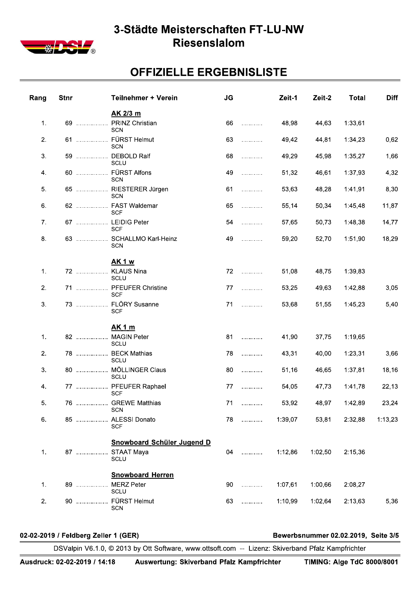

#### 3-Städte Meisterschaften FT-LU-NW Riesenslalom

## **OFFIZIELLE ERGEBNISLISTE**

| Rang | <b>Stnr</b> | <b>Teilnehmer + Verein</b>                              | <b>JG</b> |   | Zeit-1  | Zeit-2  | <b>Total</b> | <b>Diff</b> |
|------|-------------|---------------------------------------------------------|-----------|---|---------|---------|--------------|-------------|
|      |             | AK 2/3 m                                                |           |   |         |         |              |             |
| 1.   | 69          | PRINZ Christian<br><b>SCN</b>                           | 66        | . | 48,98   | 44,63   | 1:33,61      |             |
| 2.   | 61          | FÜRST Helmut<br><b>SCN</b>                              | 63        | . | 49,42   | 44,81   | 1:34,23      | 0,62        |
| 3.   | 59          | <b>DEBOLD Ralf</b><br>SCLU                              | 68        | . | 49,29   | 45,98   | 1:35,27      | 1,66        |
| 4.   | 60          | <b>FÜRST Alfons</b><br><b>SCN</b>                       | 49        | . | 51,32   | 46,61   | 1:37,93      | 4,32        |
| 5.   | 65          | RIESTERER Jürgen<br><b>SCN</b>                          | 61        | . | 53,63   | 48,28   | 1:41,91      | 8,30        |
| 6.   |             | FAST Waldemar<br><b>SCF</b>                             | 65        | . | 55,14   | 50,34   | 1:45,48      | 11,87       |
| 7.   |             | 67  LEIDIG Peter<br><b>SCF</b>                          | 54        | . | 57,65   | 50,73   | 1:48,38      | 14,77       |
| 8.   |             | SCHALLMO Karl-Heinz<br><b>SCN</b>                       | 49        | . | 59,20   | 52,70   | 1:51,90      | 18,29       |
|      |             | <b>AK1w</b>                                             |           |   |         |         |              |             |
| 1.   | 72          | <b>KLAUS Nina</b><br>SCLU                               | 72        | . | 51,08   | 48,75   | 1:39,83      |             |
| 2.   | 71          | PFEUFER Christine<br><b>SCF</b>                         | 77        | . | 53,25   | 49,63   | 1:42,88      | 3,05        |
| 3.   | 73          | FLÖRY Susanne<br><b>SCF</b>                             | 71        | . | 53,68   | 51,55   | 1:45,23      | 5,40        |
|      |             | <u>AK 1 m</u>                                           |           |   |         |         |              |             |
| 1.   | 82          | <b>MAGIN Peter</b><br>SCLU                              | 81        | . | 41,90   | 37,75   | 1:19,65      |             |
| 2.   | 78          | <b>BECK Mathias</b><br>SCLU                             | 78        | . | 43,31   | 40,00   | 1:23,31      | 3,66        |
| 3.   | 80          | MÖLLINGER Claus<br>SCLU                                 | 80        | . | 51,16   | 46,65   | 1:37,81      | 18,16       |
| 4.   | 77          | PFEUFER Raphael<br><b>SCF</b>                           | 77        | . | 54,05   | 47,73   | 1:41,78      | 22,13       |
| 5.   |             | 76  GREWE Matthias<br><b>SCN</b>                        | 71        | . | 53,92   | 48,97   | 1:42,89      | 23,24       |
| 6.   |             | 85  ALESSI Donato<br><b>SCF</b>                         | 78        |   | 1:39,07 | 53,81   | 2:32,88      | 1:13,23     |
|      |             |                                                         |           |   |         |         |              |             |
| 1.   | 87          | <b>Snowboard Schüler Jugend D</b><br>STAAT Maya<br>SCLU | 04        | . | 1:12,86 | 1:02,50 | 2:15,36      |             |
|      |             |                                                         |           |   |         |         |              |             |
| 1.   | 89          | <b>Snowboard Herren</b><br><b>MERZ Peter</b><br>SCLU    | 90        | . | 1:07,61 | 1:00,66 | 2:08,27      |             |
| 2.   | 90          | FÜRST Helmut<br>SCN                                     | 63        | . | 1:10,99 | 1:02,64 | 2:13,63      | 5,36        |

#### 02-02-2019 / Feldberg Zeller 1 (GER)

Bewerbsnummer 02.02.2019, Seite 3/5

DSValpin V6.1.0, @ 2013 by Ott Software, www.ottsoft.com -- Lizenz: Skiverband Pfalz Kampfrichter

Auswertung: Skiverband Pfalz Kampfrichter

**TIMING: Alge TdC 8000/8001**